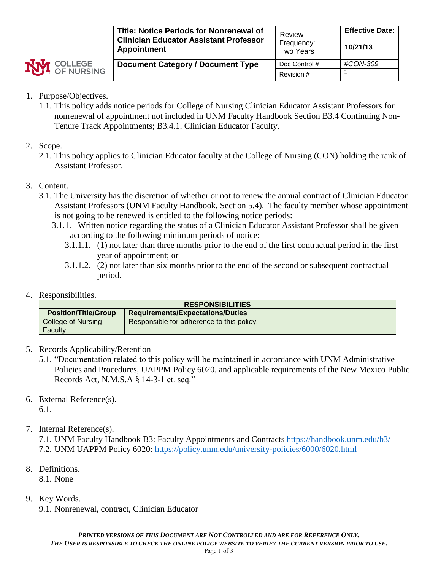- 1. Purpose/Objectives.
	- 1.1. This policy adds notice periods for College of Nursing Clinician Educator Assistant Professors for nonrenewal of appointment not included in UNM Faculty Handbook Section B3.4 Continuing Non-Tenure Track Appointments; B3.4.1. Clinician Educator Faculty.
- 2. Scope.
	- 2.1. This policy applies to Clinician Educator faculty at the College of Nursing (CON) holding the rank of Assistant Professor.
- 3. Content.
	- 3.1. The University has the discretion of whether or not to renew the annual contract of Clinician Educator Assistant Professors (UNM Faculty Handbook, Section 5.4). The faculty member whose appointment is not going to be renewed is entitled to the following notice periods:
		- 3.1.1. Written notice regarding the status of a Clinician Educator Assistant Professor shall be given according to the following minimum periods of notice:
			- 3.1.1.1. (1) not later than three months prior to the end of the first contractual period in the first year of appointment; or
			- 3.1.1.2. (2) not later than six months prior to the end of the second or subsequent contractual period.
- 4. Responsibilities.

| <b>RESPONSIBILITIES</b>     |                                           |  |  |  |  |
|-----------------------------|-------------------------------------------|--|--|--|--|
| <b>Position/Title/Group</b> | <b>Requirements/Expectations/Duties</b>   |  |  |  |  |
| College of Nursing          | Responsible for adherence to this policy. |  |  |  |  |
| Faculty                     |                                           |  |  |  |  |

- 5. Records Applicability/Retention
	- 5.1. "Documentation related to this policy will be maintained in accordance with UNM Administrative Policies and Procedures, UAPPM Policy 6020, and applicable requirements of the New Mexico Public Records Act, N.M.S.A § 14-3-1 et. seq."
- 6. External Reference(s). 6.1.
- 7. Internal Reference(s).

7.1. UNM Faculty Handbook B3: Faculty Appointments and Contracts<https://handbook.unm.edu/b3/> 7.2. UNM UAPPM Policy 6020:<https://policy.unm.edu/university-policies/6000/6020.html>

8. Definitions.

8.1. None

- 9. Key Words.
	- 9.1. Nonrenewal, contract, Clinician Educator